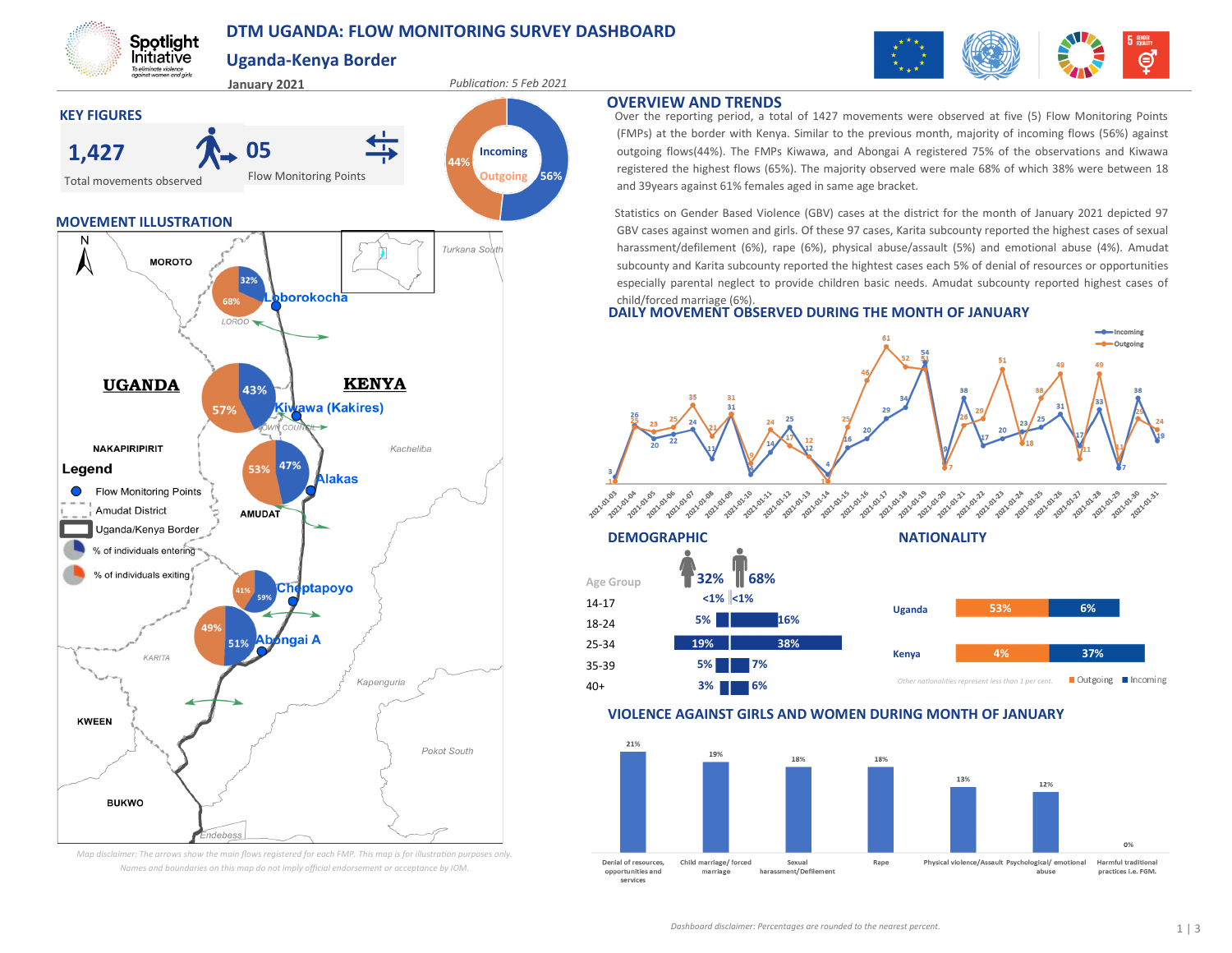## **DTM UGANDA: FLOW MONITORING SURVEY DASHBOARD**



# **Uganda-Kenya Border**

Spotlight Initiative To eliminate violence<br>against women and girls



*Map disclaimer: The arrows show the main flows registered for each FMP. This map is for illustration purposes only. Names and boundaries on this map do not imply official endorsement or acceptance by IOM.*

#### **OVERVIEW AND TRENDS**

40+

Over the reporting period, a total of 1427 movements were observed at five (5) Flow Monitoring Points (FMPs) at the border with Kenya. Similar to the previous month, majority of incoming flows (56%) against outgoing flows(44%). The FMPs Kiwawa, and Abongai A registered 75% of the observations and Kiwawa registered the highest flows (65%). The majority observed were male 68% of which 38% were between 18 and 39years against 61% females aged in same age bracket.

Statistics on Gender Based Violence (GBV) cases at the district for the month of January 2021 depicted 97 GBV cases against women and girls. Of these 97 cases, Karita subcounty reported the highest cases of sexual harassment/defilement (6%), rape (6%), physical abuse/assault (5%) and emotional abuse (4%). Amudat subcounty and Karita subcounty reported the hightest cases each 5% of denial of resources or opportunities especially parental neglect to provide children basic needs. Amudat subcounty reported highest cases of child/forced marriage (6%).

### **DAILY MOVEMENT OBSERVED DURING THE MONTH OF JANUARY**





#### **VIOLENCE AGAINST GIRLS AND WOMEN DURING MONTH OF JANUARY**

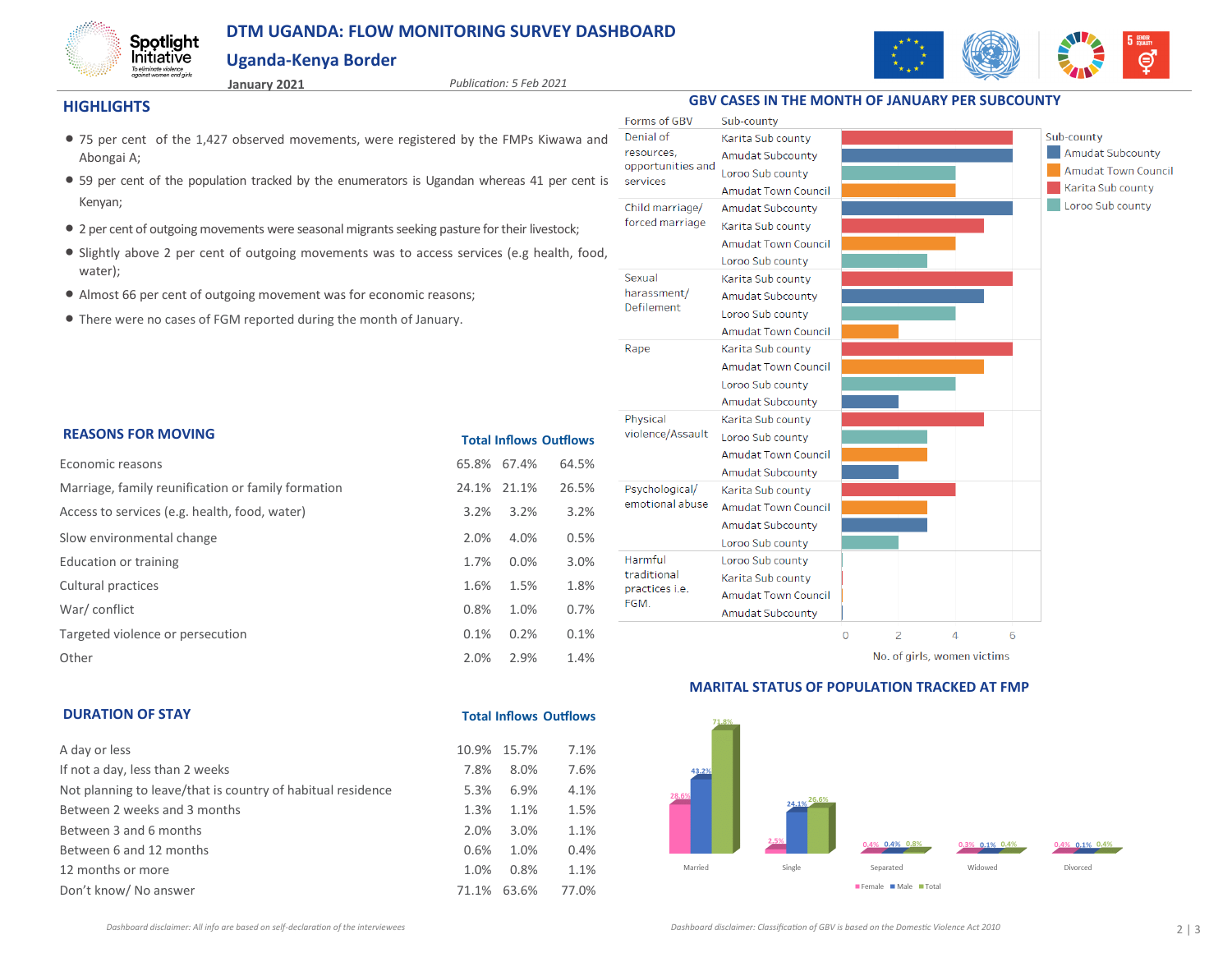## **DTM UGANDA: FLOW MONITORING SURVEY DASHBOARD**

### **Uganda-Kenya Border**



#### **HIGHLIGHTS**

Spotlight *Initiative* To eliminate violence<br>against women and girls

**January 2021** *Publication: 5 Feb 2021*

**Total Inflows Outflows**

- 75 per cent of the 1,427 observed movements, were registered by the FMPs Kiwawa and Abongai A;
- 59 per cent of the population tracked by the enumerators is Ugandan whereas 41 per cent is Kenyan;
- 2 per cent of outgoing movements were seasonal migrants seeking pasture for their livestock;
- Slightly above 2 per cent of outgoing movements was to access services (e.g health, food, water);
- Almost 66 per cent of outgoing movement was for economic reasons;
- There were no cases of FGM reported during the month of January.

| <b>REASONS FOR MOVING</b>                          |             | <b>Total Inflows Outflows</b> |       |  |  |
|----------------------------------------------------|-------------|-------------------------------|-------|--|--|
| Economic reasons                                   | 65.8% 67.4% |                               | 64.5% |  |  |
| Marriage, family reunification or family formation | 24.1%       | 21.1%                         | 26.5% |  |  |
| Access to services (e.g. health, food, water)      | $3.2\%$     | 3.2%                          | 3.2%  |  |  |
| Slow environmental change                          | 2.0%        | 4.0%                          | 0.5%  |  |  |
| Education or training                              | 1.7%        | 0.0%                          | 3.0%  |  |  |
| Cultural practices                                 | 1.6%        | 1.5%                          | 1.8%  |  |  |
| War/conflict                                       | 0.8%        | 1.0%                          | 0.7%  |  |  |
| Targeted violence or persecution                   | 0.1%        | 0.2%                          | 0.1%  |  |  |
| Other                                              | 2.0%        | 2.9%                          | 1.4%  |  |  |



No. of girls, women victims

### **MARITAL STATUS OF POPULATION TRACKED AT FMP**



### **DURATION OF STAY**

| A day or less                                               |       | 10.9% 15.7% | 7.1%  |
|-------------------------------------------------------------|-------|-------------|-------|
| If not a day, less than 2 weeks                             | 7.8%  | 8.0%        | 7.6%  |
| Not planning to leave/that is country of habitual residence | 5.3%  | 6.9%        | 4.1%  |
| Between 2 weeks and 3 months                                | 1.3%  | 1.1%        | 1.5%  |
| Between 3 and 6 months                                      | 2.0%  | 3.0%        | 1.1%  |
| Between 6 and 12 months                                     | 0.6%  | 1.0%        | 0.4%  |
| 12 months or more                                           | 1.0%  | 0.8%        | 1.1%  |
| Don't know/ No answer                                       | 71.1% | 63.6%       | 77.0% |